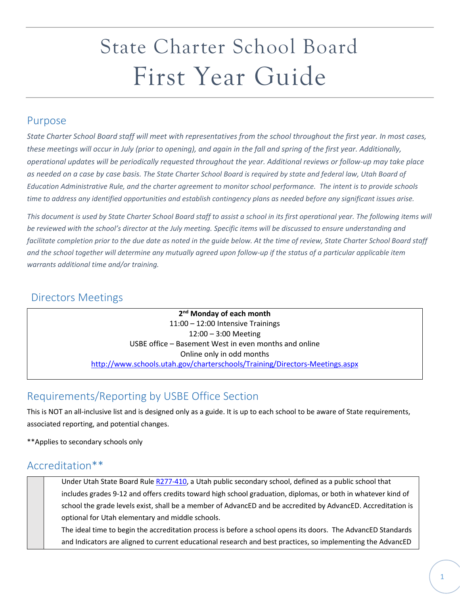# State Charter School Board First Year Guide

#### Purpose

*State Charter School Board staff will meet with representatives from the school throughout the first year. In most cases, these meetings will occur in July (prior to opening), and again in the fall and spring of the first year. Additionally, operational updates will be periodically requested throughout the year. Additional reviews or follow-up may take place as needed on a case by case basis. The State Charter School Board is required by state and federal law, Utah Board of Education Administrative Rule, and the charter agreement to monitor school performance. The intent is to provide schools time to address any identified opportunities and establish contingency plans as needed before any significant issues arise.*

*This document is used by State Charter School Board staff to assist a school in its first operational year. The following items will be reviewed with the school's director at the July meeting. Specific items will be discussed to ensure understanding and facilitate completion prior to the due date as noted in the guide below. At the time of review, State Charter School Board staff and the school together will determine any mutually agreed upon follow-up if the status of a particular applicable item warrants additional time and/or training.* 

#### Directors Meetings

**2nd Monday of each month** 11:00 – 12:00 Intensive Trainings 12:00 – 3:00 Meeting USBE office – Basement West in even months and online Online only in odd months <http://www.schools.utah.gov/charterschools/Training/Directors-Meetings.aspx>

### Requirements/Reporting by USBE Office Section

This is NOT an all-inclusive list and is designed only as a guide. It is up to each school to be aware of State requirements, associated reporting, and potential changes.

\*\*Applies to secondary schools only

#### Accreditation\*\*

Under Utah State Board Rul[e R277-410,](http://www.rules.utah.gov/publicat/code/r277/r277-410.htm) a Utah public secondary school, defined as a public school that includes grades 9-12 and offers credits toward high school graduation, diplomas, or both in whatever kind of school the grade levels exist, shall be a member of AdvancED and be accredited by AdvancED. Accreditation is optional for Utah elementary and middle schools.

The ideal time to begin the accreditation process is before a school opens its doors. The AdvancED Standards and Indicators are aligned to current educational research and best practices, so implementing the AdvancED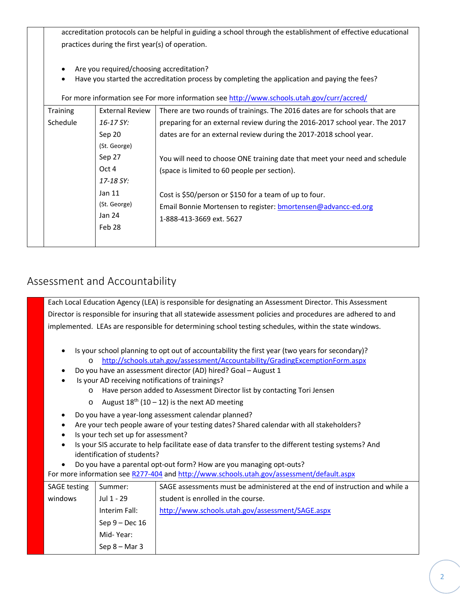accreditation protocols can be helpful in guiding a school through the establishment of effective educational practices during the first year(s) of operation.

- Are you required/choosing accreditation?
- Have you started the accreditation process by completing the application and paying the fees?

For more information see For more information see<http://www.schools.utah.gov/curr/accred/>

| <b>Training</b> | <b>External Review</b> | There are two rounds of trainings. The 2016 dates are for schools that are  |
|-----------------|------------------------|-----------------------------------------------------------------------------|
| Schedule        | $16 - 17$ SY:          | preparing for an external review during the 2016-2017 school year. The 2017 |
|                 | Sep 20                 | dates are for an external review during the 2017-2018 school year.          |
|                 | (St. George)           |                                                                             |
|                 | Sep 27                 | You will need to choose ONE training date that meet your need and schedule  |
|                 | Oct 4                  | (space is limited to 60 people per section).                                |
|                 | 17-18 SY:              |                                                                             |
|                 | Jan 11                 | Cost is \$50/person or \$150 for a team of up to four.                      |
|                 | (St. George)           | Email Bonnie Mortensen to register: bmortensen@advancc-ed.org               |
|                 | Jan 24                 | 1-888-413-3669 ext. 5627                                                    |
|                 | Feb 28                 |                                                                             |
|                 |                        |                                                                             |

#### Assessment and Accountability

Each Local Education Agency (LEA) is responsible for designating an Assessment Director. This Assessment Director is responsible for insuring that all statewide assessment policies and procedures are adhered to and implemented. LEAs are responsible for determining school testing schedules, within the state windows.

- Is your school planning to opt out of accountability the first year (two years for secondary)? o <http://schools.utah.gov/assessment/Accountability/GradingExcemptionForm.aspx>
- Do you have an assessment director (AD) hired? Goal August 1
- Is your AD receiving notifications of trainings?
	- o Have person added to Assessment Director list by contacting Tori Jensen
	- o August  $18^{th}$  (10 12) is the next AD meeting
- Do you have a year-long assessment calendar planned?
- Are your tech people aware of your testing dates? Shared calendar with all stakeholders?
- Is your tech set up for assessment?
- Is your SIS accurate to help facilitate ease of data transfer to the different testing systems? And identification of students?
- Do you have a parental opt-out form? How are you managing opt-outs?

For more information see [R277-404](http://www.rules.utah.gov/publicat/code/r277/r277-404.htm) and<http://www.schools.utah.gov/assessment/default.aspx>

| <b>SAGE testing</b> | Summer:          | SAGE assessments must be administered at the end of instruction and while a |
|---------------------|------------------|-----------------------------------------------------------------------------|
| windows             | Jul 1 - 29       | student is enrolled in the course.                                          |
|                     | Interim Fall:    | http://www.schools.utah.gov/assessment/SAGE.aspx                            |
|                     | Sep $9 - Dec 16$ |                                                                             |
|                     | Mid-Year:        |                                                                             |
|                     | $Sep 8 - Mar 3$  |                                                                             |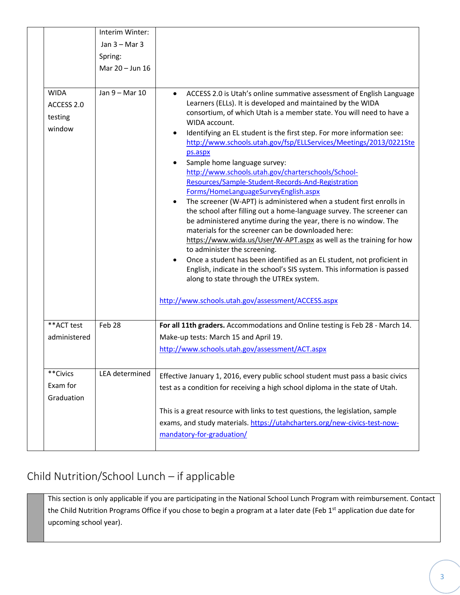|                                                | Interim Winter:   |                                                                                                                                                                                                                                                                                                                                                                                                                                                                                                                                                                                                                                                                                                                                                                                                                                                                                                                                                                                                                                                                                           |
|------------------------------------------------|-------------------|-------------------------------------------------------------------------------------------------------------------------------------------------------------------------------------------------------------------------------------------------------------------------------------------------------------------------------------------------------------------------------------------------------------------------------------------------------------------------------------------------------------------------------------------------------------------------------------------------------------------------------------------------------------------------------------------------------------------------------------------------------------------------------------------------------------------------------------------------------------------------------------------------------------------------------------------------------------------------------------------------------------------------------------------------------------------------------------------|
|                                                | Jan $3 -$ Mar $3$ |                                                                                                                                                                                                                                                                                                                                                                                                                                                                                                                                                                                                                                                                                                                                                                                                                                                                                                                                                                                                                                                                                           |
|                                                | Spring:           |                                                                                                                                                                                                                                                                                                                                                                                                                                                                                                                                                                                                                                                                                                                                                                                                                                                                                                                                                                                                                                                                                           |
|                                                | Mar 20 - Jun 16   |                                                                                                                                                                                                                                                                                                                                                                                                                                                                                                                                                                                                                                                                                                                                                                                                                                                                                                                                                                                                                                                                                           |
|                                                |                   |                                                                                                                                                                                                                                                                                                                                                                                                                                                                                                                                                                                                                                                                                                                                                                                                                                                                                                                                                                                                                                                                                           |
| <b>WIDA</b><br>ACCESS 2.0<br>testing<br>window | Jan 9 - Mar 10    | ACCESS 2.0 is Utah's online summative assessment of English Language<br>$\bullet$<br>Learners (ELLs). It is developed and maintained by the WIDA<br>consortium, of which Utah is a member state. You will need to have a<br>WIDA account.<br>Identifying an EL student is the first step. For more information see:<br>$\bullet$<br>http://www.schools.utah.gov/fsp/ELLServices/Meetings/2013/0221Ste<br>ps.aspx<br>Sample home language survey:<br>$\bullet$<br>http://www.schools.utah.gov/charterschools/School-<br>Resources/Sample-Student-Records-And-Registration<br>Forms/HomeLanguageSurveyEnglish.aspx<br>The screener (W-APT) is administered when a student first enrolls in<br>$\bullet$<br>the school after filling out a home-language survey. The screener can<br>be administered anytime during the year, there is no window. The<br>materials for the screener can be downloaded here:<br>https://www.wida.us/User/W-APT.aspx as well as the training for how<br>to administer the screening.<br>Once a student has been identified as an EL student, not proficient in |
|                                                |                   | English, indicate in the school's SIS system. This information is passed<br>along to state through the UTREx system.<br>http://www.schools.utah.gov/assessment/ACCESS.aspx                                                                                                                                                                                                                                                                                                                                                                                                                                                                                                                                                                                                                                                                                                                                                                                                                                                                                                                |
|                                                |                   |                                                                                                                                                                                                                                                                                                                                                                                                                                                                                                                                                                                                                                                                                                                                                                                                                                                                                                                                                                                                                                                                                           |
| **ACT test<br>administered                     | Feb 28            | For all 11th graders. Accommodations and Online testing is Feb 28 - March 14.<br>Make-up tests: March 15 and April 19.<br>http://www.schools.utah.gov/assessment/ACT.aspx                                                                                                                                                                                                                                                                                                                                                                                                                                                                                                                                                                                                                                                                                                                                                                                                                                                                                                                 |
| **Civics<br>Exam for<br>Graduation             | LEA determined    | Effective January 1, 2016, every public school student must pass a basic civics<br>test as a condition for receiving a high school diploma in the state of Utah.                                                                                                                                                                                                                                                                                                                                                                                                                                                                                                                                                                                                                                                                                                                                                                                                                                                                                                                          |
|                                                |                   | This is a great resource with links to test questions, the legislation, sample<br>exams, and study materials. https://utahcharters.org/new-civics-test-now-<br>mandatory-for-graduation/                                                                                                                                                                                                                                                                                                                                                                                                                                                                                                                                                                                                                                                                                                                                                                                                                                                                                                  |

## Child Nutrition/School Lunch – if applicable

This section is only applicable if you are participating in the National School Lunch Program with reimbursement. Contact the Child Nutrition Programs Office if you chose to begin a program at a later date (Feb 1<sup>st</sup> application due date for upcoming school year).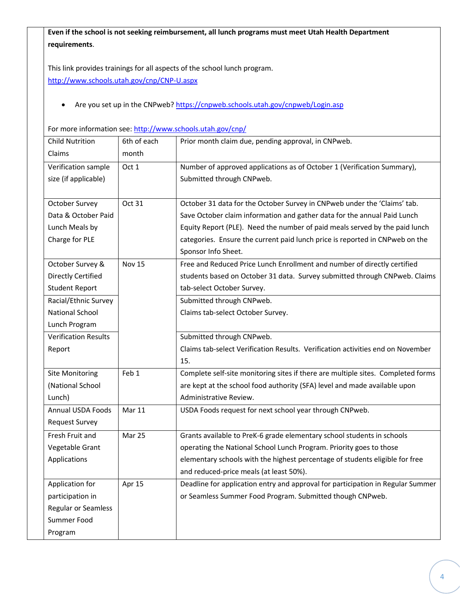**Even if the school is not seeking reimbursement, all lunch programs must meet Utah Health Department requirements**.

This link provides trainings for all aspects of the school lunch program. <http://www.schools.utah.gov/cnp/CNP-U.aspx>

• Are you set up in the CNPweb? <https://cnpweb.schools.utah.gov/cnpweb/Login.asp>

For more information see: <http://www.schools.utah.gov/cnp/>

| <b>Child Nutrition</b>      | 6th of each   | Prior month claim due, pending approval, in CNPweb.                              |
|-----------------------------|---------------|----------------------------------------------------------------------------------|
| Claims                      | month         |                                                                                  |
| Verification sample         | Oct 1         | Number of approved applications as of October 1 (Verification Summary),          |
| size (if applicable)        |               | Submitted through CNPweb.                                                        |
|                             |               |                                                                                  |
| October Survey              | Oct 31        | October 31 data for the October Survey in CNPweb under the 'Claims' tab.         |
| Data & October Paid         |               | Save October claim information and gather data for the annual Paid Lunch         |
| Lunch Meals by              |               | Equity Report (PLE). Need the number of paid meals served by the paid lunch      |
| Charge for PLE              |               | categories. Ensure the current paid lunch price is reported in CNPweb on the     |
|                             |               | Sponsor Info Sheet.                                                              |
| October Survey &            | <b>Nov 15</b> | Free and Reduced Price Lunch Enrollment and number of directly certified         |
| <b>Directly Certified</b>   |               | students based on October 31 data. Survey submitted through CNPweb. Claims       |
| <b>Student Report</b>       |               | tab-select October Survey.                                                       |
| Racial/Ethnic Survey        |               | Submitted through CNPweb.                                                        |
| <b>National School</b>      |               | Claims tab-select October Survey.                                                |
| Lunch Program               |               |                                                                                  |
| <b>Verification Results</b> |               | Submitted through CNPweb.                                                        |
| Report                      |               | Claims tab-select Verification Results. Verification activities end on November  |
|                             |               | 15.                                                                              |
| <b>Site Monitoring</b>      | Feb 1         | Complete self-site monitoring sites if there are multiple sites. Completed forms |
| (National School            |               | are kept at the school food authority (SFA) level and made available upon        |
| Lunch)                      |               | Administrative Review.                                                           |
| <b>Annual USDA Foods</b>    | Mar 11        | USDA Foods request for next school year through CNPweb.                          |
| <b>Request Survey</b>       |               |                                                                                  |
| Fresh Fruit and             | Mar 25        | Grants available to PreK-6 grade elementary school students in schools           |
| Vegetable Grant             |               | operating the National School Lunch Program. Priority goes to those              |
| Applications                |               | elementary schools with the highest percentage of students eligible for free     |
|                             |               | and reduced-price meals (at least 50%).                                          |
| Application for             | Apr 15        | Deadline for application entry and approval for participation in Regular Summer  |
| participation in            |               | or Seamless Summer Food Program. Submitted though CNPweb.                        |
| <b>Regular or Seamless</b>  |               |                                                                                  |
| Summer Food                 |               |                                                                                  |
| Program                     |               |                                                                                  |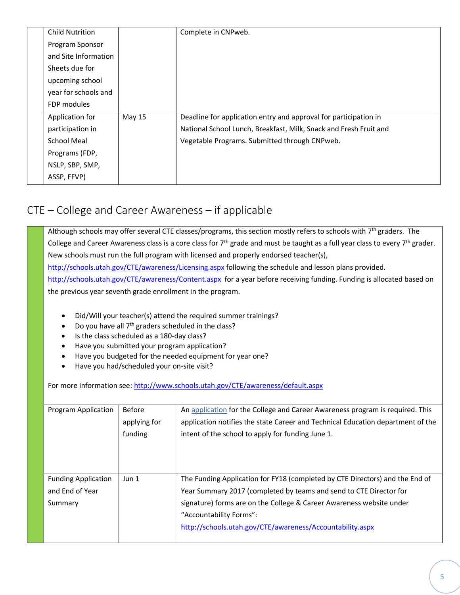| <b>Child Nutrition</b> |        | Complete in CNPweb.                                               |
|------------------------|--------|-------------------------------------------------------------------|
| Program Sponsor        |        |                                                                   |
| and Site Information   |        |                                                                   |
| Sheets due for         |        |                                                                   |
| upcoming school        |        |                                                                   |
| year for schools and   |        |                                                                   |
| FDP modules            |        |                                                                   |
| Application for        | May 15 | Deadline for application entry and approval for participation in  |
| participation in       |        | National School Lunch, Breakfast, Milk, Snack and Fresh Fruit and |
| School Meal            |        | Vegetable Programs. Submitted through CNPweb.                     |
| Programs (FDP,         |        |                                                                   |
| NSLP, SBP, SMP,        |        |                                                                   |
| ASSP, FFVP)            |        |                                                                   |

## CTE – College and Career Awareness – if applicable

Although schools may offer several CTE classes/programs, this section mostly refers to schools with 7<sup>th</sup> graders. The College and Career Awareness class is a core class for  $7<sup>th</sup>$  grade and must be taught as a full year class to every  $7<sup>th</sup>$  grader. New schools must run the full program with licensed and properly endorsed teacher(s), <http://schools.utah.gov/CTE/awareness/Licensing.aspx> following the schedule and lesson plans provided. <http://schools.utah.gov/CTE/awareness/Content.aspx> for a year before receiving funding. Funding is allocated based on the previous year seventh grade enrollment in the program.

- Did/Will your teacher(s) attend the required summer trainings?
- Do you have all 7<sup>th</sup> graders scheduled in the class?
- Is the class scheduled as a 180-day class?
- Have you submitted your program application?
- Have you budgeted for the needed equipment for year one?
- Have you had/scheduled your on-site visit?

For more information see: <http://www.schools.utah.gov/CTE/awareness/default.aspx>

| <b>Program Application</b>                               | <b>Before</b><br>applying for<br>funding | An application for the College and Career Awareness program is required. This<br>application notifies the state Career and Technical Education department of the<br>intent of the school to apply for funding June 1.                                                                                              |
|----------------------------------------------------------|------------------------------------------|--------------------------------------------------------------------------------------------------------------------------------------------------------------------------------------------------------------------------------------------------------------------------------------------------------------------|
| <b>Funding Application</b><br>and End of Year<br>Summary | Jun <sub>1</sub>                         | The Funding Application for FY18 (completed by CTE Directors) and the End of<br>Year Summary 2017 (completed by teams and send to CTE Director for<br>signature) forms are on the College & Career Awareness website under<br>"Accountability Forms":<br>http://schools.utah.gov/CTE/awareness/Accountability.aspx |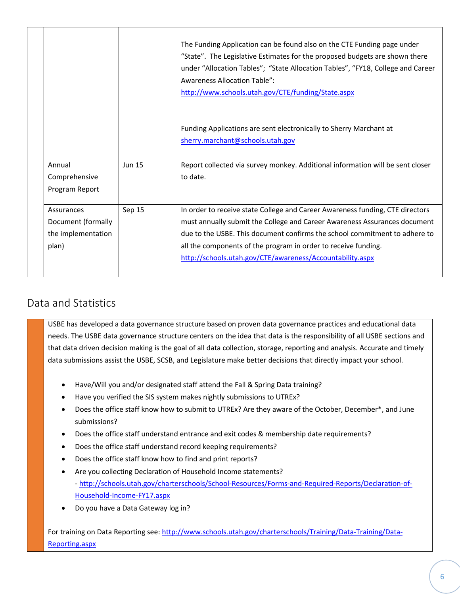|                                                                 |               | The Funding Application can be found also on the CTE Funding page under<br>"State". The Legislative Estimates for the proposed budgets are shown there<br>under "Allocation Tables"; "State Allocation Tables", "FY18, College and Career<br><b>Awareness Allocation Table":</b><br>http://www.schools.utah.gov/CTE/funding/State.aspx                                  |
|-----------------------------------------------------------------|---------------|-------------------------------------------------------------------------------------------------------------------------------------------------------------------------------------------------------------------------------------------------------------------------------------------------------------------------------------------------------------------------|
|                                                                 |               | Funding Applications are sent electronically to Sherry Marchant at<br>sherry.marchant@schools.utah.gov                                                                                                                                                                                                                                                                  |
| Annual<br>Comprehensive<br>Program Report                       | <b>Jun 15</b> | Report collected via survey monkey. Additional information will be sent closer<br>to date.                                                                                                                                                                                                                                                                              |
| Assurances<br>Document (formally<br>the implementation<br>plan) | Sep 15        | In order to receive state College and Career Awareness funding, CTE directors<br>must annually submit the College and Career Awareness Assurances document<br>due to the USBE. This document confirms the school commitment to adhere to<br>all the components of the program in order to receive funding.<br>http://schools.utah.gov/CTE/awareness/Accountability.aspx |

## Data and Statistics

USBE has developed a data governance structure based on proven data governance practices and educational data needs. The USBE data governance structure centers on the idea that data is the responsibility of all USBE sections and that data driven decision making is the goal of all data collection, storage, reporting and analysis. Accurate and timely data submissions assist the USBE, SCSB, and Legislature make better decisions that directly impact your school.

- Have/Will you and/or designated staff attend the Fall & Spring Data training?
- Have you verified the SIS system makes nightly submissions to UTREx?
- Does the office staff know how to submit to UTREx? Are they aware of the October, December\*, and June submissions?
- Does the office staff understand entrance and exit codes & membership date requirements?
- Does the office staff understand record keeping requirements?
- Does the office staff know how to find and print reports?
- Are you collecting Declaration of Household Income statements? - [http://schools.utah.gov/charterschools/School-Resources/Forms-and-Required-Reports/Declaration-of-](http://schools.utah.gov/charterschools/School-Resources/Forms-and-Required-Reports/Declaration-of-Household-Income-FY17.aspx)[Household-Income-FY17.aspx](http://schools.utah.gov/charterschools/School-Resources/Forms-and-Required-Reports/Declaration-of-Household-Income-FY17.aspx)
- Do you have a Data Gateway log in?

For training on Data Reporting see: [http://www.schools.utah.gov/charterschools/Training/Data-Training/Data-](http://www.schools.utah.gov/charterschools/Training/Data-Training/Data-Reporting.aspx)[Reporting.aspx](http://www.schools.utah.gov/charterschools/Training/Data-Training/Data-Reporting.aspx)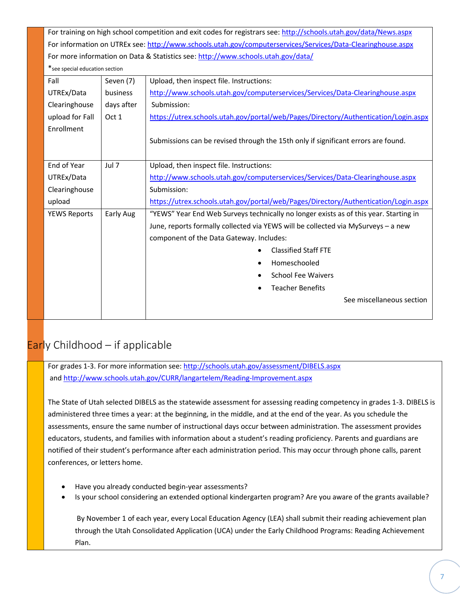For training on high school competition and exit codes for registrars see: <http://schools.utah.gov/data/News.aspx> For information on UTREx see: <http://www.schools.utah.gov/computerservices/Services/Data-Clearinghouse.aspx> For more information on Data & Statistics see: <http://www.schools.utah.gov/data/>

\*see special education section

| Fall                | Seven (7)  | Upload, then inspect file. Instructions:                                              |
|---------------------|------------|---------------------------------------------------------------------------------------|
| UTREx/Data          | business   | http://www.schools.utah.gov/computerservices/Services/Data-Clearinghouse.aspx         |
| Clearinghouse       | days after | Submission:                                                                           |
| upload for Fall     | Oct 1      | https://utrex.schools.utah.gov/portal/web/Pages/Directory/Authentication/Login.aspx   |
| Enrollment          |            |                                                                                       |
|                     |            | Submissions can be revised through the 15th only if significant errors are found.     |
|                     |            |                                                                                       |
| End of Year         | Jul 7      | Upload, then inspect file. Instructions:                                              |
| UTREx/Data          |            | http://www.schools.utah.gov/computerservices/Services/Data-Clearinghouse.aspx         |
| Clearinghouse       |            | Submission:                                                                           |
| upload              |            | https://utrex.schools.utah.gov/portal/web/Pages/Directory/Authentication/Login.aspx   |
| <b>YEWS Reports</b> | Early Aug  | "YEWS" Year End Web Surveys technically no longer exists as of this year. Starting in |
|                     |            | June, reports formally collected via YEWS will be collected via MySurveys - a new     |
|                     |            | component of the Data Gateway. Includes:                                              |
|                     |            | <b>Classified Staff FTE</b>                                                           |
|                     |            | Homeschooled                                                                          |
|                     |            | <b>School Fee Waivers</b>                                                             |
|                     |            | <b>Teacher Benefits</b>                                                               |
|                     |            | See miscellaneous section                                                             |
|                     |            |                                                                                       |
|                     |            |                                                                                       |

## Early Childhood - if applicable

For grades 1-3. For more information see: <http://schools.utah.gov/assessment/DIBELS.aspx> an[d http://www.schools.utah.gov/CURR/langartelem/Reading-Improvement.aspx](http://www.schools.utah.gov/CURR/langartelem/Reading-Improvement.aspx)

The State of Utah selected DIBELS as the statewide assessment for assessing reading competency in grades 1-3. DIBELS is administered three times a year: at the beginning, in the middle, and at the end of the year. As you schedule the assessments, ensure the same number of instructional days occur between administration. The assessment provides educators, students, and families with information about a student's reading proficiency. Parents and guardians are notified of their student's performance after each administration period. This may occur through phone calls, parent conferences, or letters home.

- Have you already conducted begin-year assessments?
- Is your school considering an extended optional kindergarten program? Are you aware of the grants available?

By November 1 of each year, every Local Education Agency (LEA) shall submit their reading achievement plan through the Utah Consolidated Application (UCA) under the Early Childhood Programs: Reading Achievement Plan.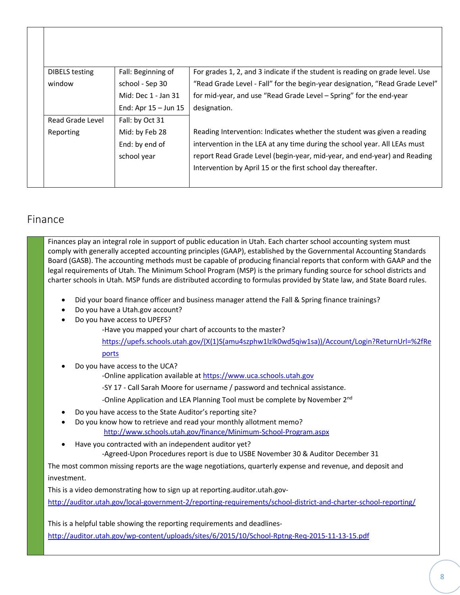| <b>DIBELS</b> testing | Fall: Beginning of       | For grades 1, 2, and 3 indicate if the student is reading on grade level. Use |
|-----------------------|--------------------------|-------------------------------------------------------------------------------|
| window                | school - Sep 30          | "Read Grade Level - Fall" for the begin-year designation, "Read Grade Level"  |
|                       | Mid: Dec 1 - Jan 31      | for mid-year, and use "Read Grade Level - Spring" for the end-year            |
|                       | End: Apr $15 -$ Jun $15$ | designation.                                                                  |
| Read Grade Level      | Fall: by Oct 31          |                                                                               |
| Reporting             | Mid: by Feb 28           | Reading Intervention: Indicates whether the student was given a reading       |
|                       | End: by end of           | intervention in the LEA at any time during the school year. All LEAs must     |
|                       | school year              | report Read Grade Level (begin-year, mid-year, and end-year) and Reading      |
|                       |                          | Intervention by April 15 or the first school day thereafter.                  |

#### Finance

Finances play an integral role in support of public education in Utah. Each charter school accounting system must comply with generally accepted accounting principles (GAAP), established by the Governmental Accounting Standards Board (GASB). The accounting methods must be capable of producing financial reports that conform with GAAP and the legal requirements of Utah. The Minimum School Program (MSP) is the primary funding source for school districts and charter schools in Utah. MSP funds are distributed according to formulas provided by State law, and State Board rules.

- Did your board finance officer and business manager attend the Fall & Spring finance trainings?
- Do you have a Utah.gov account?
- Do you have access to UPEFS?

-Have you mapped your chart of accounts to the master?

[https://upefs.schools.utah.gov/\(X\(1\)S\(amu4szphw1lzlk0wd5qiw1sa\)\)/Account/Login?ReturnUrl=%2fRe](https://upefs.schools.utah.gov/(X(1)S(amu4szphw1lzlk0wd5qiw1sa))/Account/Login?ReturnUrl=%2fReports) [ports](https://upefs.schools.utah.gov/(X(1)S(amu4szphw1lzlk0wd5qiw1sa))/Account/Login?ReturnUrl=%2fReports) 

• Do you have access to the UCA?

-Online application available at [https://www.uca.schools.utah.gov](https://www.uca.schools.utah.gov/)

-SY 17 - Call Sarah Moore for username / password and technical assistance.

-Online Application and LEA Planning Tool must be complete by November 2<sup>nd</sup>

- Do you have access to the State Auditor's reporting site?
- Do you know how to retrieve and read your monthly allotment memo? <http://www.schools.utah.gov/finance/Minimum-School-Program.aspx>
- Have you contracted with an independent auditor yet?

-Agreed-Upon Procedures report is due to USBE November 30 & Auditor December 31

The most common missing reports are the wage negotiations, quarterly expense and revenue, and deposit and investment.

This is a video demonstrating how to sign up at reporting.auditor.utah.gov-

<http://auditor.utah.gov/local-government-2/reporting-requirements/school-district-and-charter-school-reporting/>

This is a helpful table showing the reporting requirements and deadlines<http://auditor.utah.gov/wp-content/uploads/sites/6/2015/10/School-Rptng-Req-2015-11-13-15.pdf>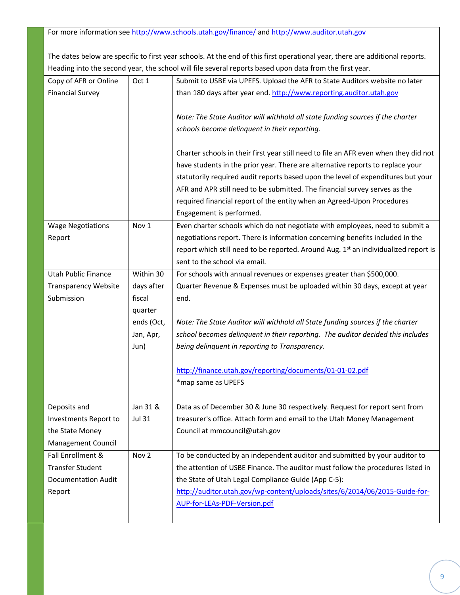For more information se[e http://www.schools.utah.gov/finance/](http://www.schools.utah.gov/finance/) an[d http://www.auditor.utah.gov](http://www.auditor.utah.gov/)

The dates below are specific to first year schools. At the end of this first operational year, there are additional reports. Heading into the second year, the school will file several reports based upon data from the first year.

| Copy of AFR or Online       | Oct 1            | Submit to USBE via UPEFS. Upload the AFR to State Auditors website no later                     |
|-----------------------------|------------------|-------------------------------------------------------------------------------------------------|
| <b>Financial Survey</b>     |                  | than 180 days after year end. http://www.reporting.auditor.utah.gov                             |
|                             |                  |                                                                                                 |
|                             |                  | Note: The State Auditor will withhold all state funding sources if the charter                  |
|                             |                  | schools become delinquent in their reporting.                                                   |
|                             |                  |                                                                                                 |
|                             |                  | Charter schools in their first year still need to file an AFR even when they did not            |
|                             |                  | have students in the prior year. There are alternative reports to replace your                  |
|                             |                  | statutorily required audit reports based upon the level of expenditures but your                |
|                             |                  | AFR and APR still need to be submitted. The financial survey serves as the                      |
|                             |                  | required financial report of the entity when an Agreed-Upon Procedures                          |
|                             |                  | Engagement is performed.                                                                        |
| <b>Wage Negotiations</b>    | Nov 1            | Even charter schools which do not negotiate with employees, need to submit a                    |
| Report                      |                  | negotiations report. There is information concerning benefits included in the                   |
|                             |                  | report which still need to be reported. Around Aug. 1 <sup>st</sup> an individualized report is |
|                             |                  | sent to the school via email.                                                                   |
| <b>Utah Public Finance</b>  | Within 30        | For schools with annual revenues or expenses greater than \$500,000.                            |
| <b>Transparency Website</b> | days after       | Quarter Revenue & Expenses must be uploaded within 30 days, except at year                      |
| Submission                  | fiscal           | end.                                                                                            |
|                             | quarter          |                                                                                                 |
|                             | ends (Oct,       | Note: The State Auditor will withhold all State funding sources if the charter                  |
|                             | Jan, Apr,        | school becomes delinquent in their reporting. The auditor decided this includes                 |
|                             | Jun)             | being delinquent in reporting to Transparency.                                                  |
|                             |                  |                                                                                                 |
|                             |                  | http://finance.utah.gov/reporting/documents/01-01-02.pdf                                        |
|                             |                  | *map same as UPEFS                                                                              |
|                             |                  |                                                                                                 |
| Deposits and                | Jan 31 &         | Data as of December 30 & June 30 respectively. Request for report sent from                     |
| Investments Report to       | <b>Jul 31</b>    | treasurer's office. Attach form and email to the Utah Money Management                          |
| the State Money             |                  | Council at mmcouncil@utah.gov                                                                   |
| <b>Management Council</b>   |                  |                                                                                                 |
| Fall Enrollment &           | Nov <sub>2</sub> | To be conducted by an independent auditor and submitted by your auditor to                      |
| <b>Transfer Student</b>     |                  | the attention of USBE Finance. The auditor must follow the procedures listed in                 |
| <b>Documentation Audit</b>  |                  | the State of Utah Legal Compliance Guide (App C-5):                                             |
| Report                      |                  | http://auditor.utah.gov/wp-content/uploads/sites/6/2014/06/2015-Guide-for-                      |
|                             |                  | AUP-for-LEAs-PDF-Version.pdf                                                                    |
|                             |                  |                                                                                                 |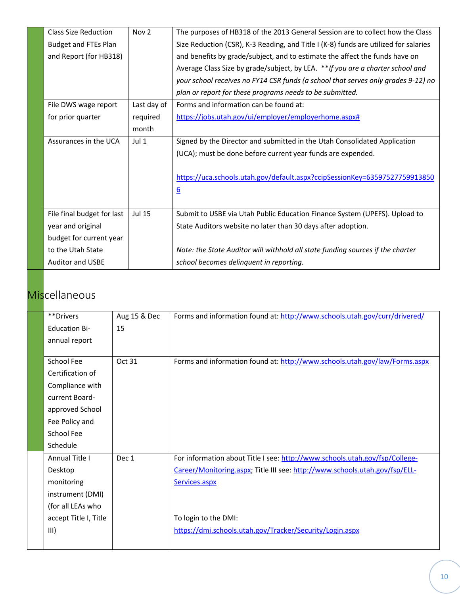| <b>Class Size Reduction</b> | Nov <sub>2</sub> | The purposes of HB318 of the 2013 General Session are to collect how the Class       |
|-----------------------------|------------------|--------------------------------------------------------------------------------------|
| <b>Budget and FTEs Plan</b> |                  | Size Reduction (CSR), K-3 Reading, and Title I (K-8) funds are utilized for salaries |
| and Report (for HB318)      |                  | and benefits by grade/subject, and to estimate the affect the funds have on          |
|                             |                  | Average Class Size by grade/subject, by LEA. ** If you are a charter school and      |
|                             |                  | your school receives no FY14 CSR funds (a school that serves only grades 9-12) no    |
|                             |                  | plan or report for these programs needs to be submitted.                             |
| File DWS wage report        | Last day of      | Forms and information can be found at:                                               |
| for prior quarter           | required         | https://jobs.utah.gov/ui/employer/employerhome.aspx#                                 |
|                             | month            |                                                                                      |
| Assurances in the UCA       | Jul $1$          | Signed by the Director and submitted in the Utah Consolidated Application            |
|                             |                  | (UCA); must be done before current year funds are expended.                          |
|                             |                  |                                                                                      |
|                             |                  | https://uca.schools.utah.gov/default.aspx?ccipSessionKey=63597527759913850           |
|                             |                  | $6 \overline{6}$                                                                     |
|                             |                  |                                                                                      |
| File final budget for last  | <b>Jul 15</b>    | Submit to USBE via Utah Public Education Finance System (UPEFS). Upload to           |
| year and original           |                  | State Auditors website no later than 30 days after adoption.                         |
| budget for current year     |                  |                                                                                      |
| to the Utah State           |                  | Note: the State Auditor will withhold all state funding sources if the charter       |
| <b>Auditor and USBE</b>     |                  | school becomes delinquent in reporting.                                              |

## **Miscellaneous**

| **Drivers             | Aug 15 & Dec | Forms and information found at: http://www.schools.utah.gov/curr/drivered/  |
|-----------------------|--------------|-----------------------------------------------------------------------------|
| <b>Education Bi-</b>  | 15           |                                                                             |
| annual report         |              |                                                                             |
|                       |              |                                                                             |
| School Fee            | Oct 31       | Forms and information found at: http://www.schools.utah.gov/law/Forms.aspx  |
| Certification of      |              |                                                                             |
| Compliance with       |              |                                                                             |
| current Board-        |              |                                                                             |
| approved School       |              |                                                                             |
| Fee Policy and        |              |                                                                             |
| School Fee            |              |                                                                             |
| Schedule              |              |                                                                             |
| Annual Title I        | Dec 1        | For information about Title I see: http://www.schools.utah.gov/fsp/College- |
| Desktop               |              | Career/Monitoring.aspx; Title III see: http://www.schools.utah.gov/fsp/ELL- |
| monitoring            |              | Services.aspx                                                               |
| instrument (DMI)      |              |                                                                             |
| (for all LEAs who     |              |                                                                             |
| accept Title I, Title |              | To login to the DMI:                                                        |
| III)                  |              | https://dmi.schools.utah.gov/Tracker/Security/Login.aspx                    |
|                       |              |                                                                             |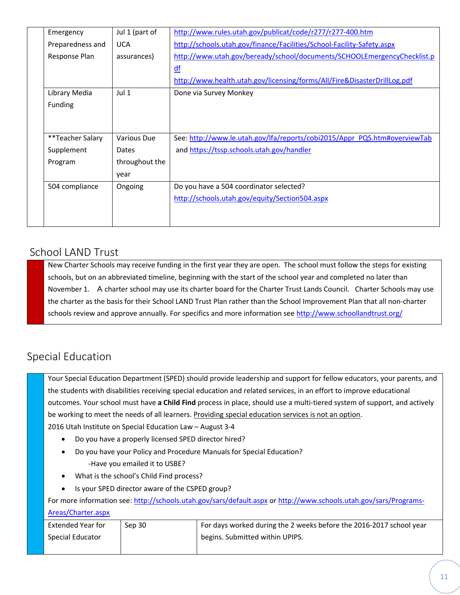| Emergency        | Jul 1 (part of | http://www.rules.utah.gov/publicat/code/r277/r277-400.htm                 |
|------------------|----------------|---------------------------------------------------------------------------|
| Preparedness and | <b>UCA</b>     | http://schools.utah.gov/finance/Facilities/School-Facility-Safety.aspx    |
| Response Plan    | assurances)    | http://www.utah.gov/beready/school/documents/SCHOOLEmergencyChecklist.p   |
|                  |                | df                                                                        |
|                  |                | http://www.health.utah.gov/licensing/forms/All/Fire&DisasterDrillLog.pdf  |
| Library Media    | Jul 1          | Done via Survey Monkey                                                    |
| Funding          |                |                                                                           |
|                  |                |                                                                           |
|                  |                |                                                                           |
| **Teacher Salary | Various Due    | See: http://www.le.utah.gov/lfa/reports/cobi2015/Appr_PQS.htm#overviewTab |
| Supplement       | Dates          | and https://tssp.schools.utah.gov/handler                                 |
| Program          | throughout the |                                                                           |
|                  | year           |                                                                           |
| 504 compliance   | Ongoing        | Do you have a 504 coordinator selected?                                   |
|                  |                | http://schools.utah.gov/equity/Section504.aspx                            |
|                  |                |                                                                           |
|                  |                |                                                                           |

#### School LAND Trust

New Charter Schools may receive funding in the first year they are open. The school must follow the steps for existing schools, but on an abbreviated timeline, beginning with the start of the school year and completed no later than November 1. A charter school may use its charter board for the Charter Trust Lands Council. Charter Schools may use the charter as the basis for their School LAND Trust Plan rather than the School Improvement Plan that all non-charter schools review and approve annually. For specifics and more information se[e http://www.schoollandtrust.org/](http://www.schoollandtrust.org/)

## Special Education

Your Special Education Department (SPED) should provide leadership and support for fellow educators, your parents, and the students with disabilities receiving special education and related services, in an effort to improve educational outcomes. Your school must have **a Child Find** process in place, should use a multi-tiered system of support, and actively be working to meet the needs of all learners. Providing special education services is not an option. 2016 Utah Institute on Special Education Law – August 3-4 • Do you have a properly licensed SPED director hired?

- Do you have your Policy and Procedure Manuals for Special Education? -Have you emailed it to USBE?
- What is the school's Child Find process?
- Is your SPED director aware of the CSPED group?

For more information see: <http://schools.utah.gov/sars/default.aspx> o[r http://www.schools.utah.gov/sars/Programs-](http://www.schools.utah.gov/sars/Programs-Areas/Charter.aspx)

#### [Areas/Charter.aspx](http://www.schools.utah.gov/sars/Programs-Areas/Charter.aspx)

| <b>Extended Year for</b> | Sep 30 | For days worked during the 2 weeks before the 2016-2017 school year |
|--------------------------|--------|---------------------------------------------------------------------|
| Special Educator         |        | <sup>1</sup> begins. Submitted within UPIPS.                        |
|                          |        |                                                                     |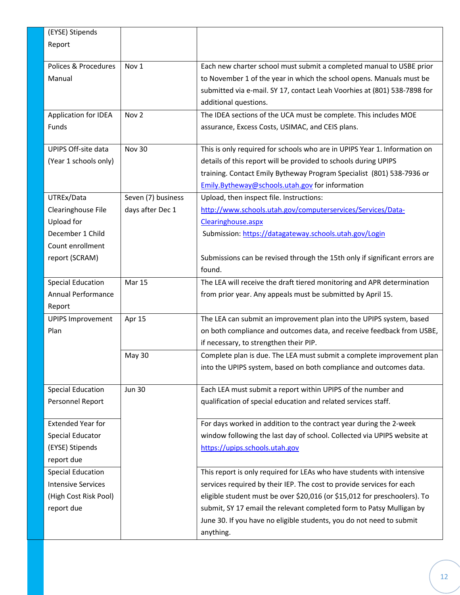| (EYSE) Stipends            |                    |                                                                            |
|----------------------------|--------------------|----------------------------------------------------------------------------|
| Report                     |                    |                                                                            |
|                            |                    |                                                                            |
| Polices & Procedures       | Nov <sub>1</sub>   | Each new charter school must submit a completed manual to USBE prior       |
| Manual                     |                    | to November 1 of the year in which the school opens. Manuals must be       |
|                            |                    | submitted via e-mail. SY 17, contact Leah Voorhies at (801) 538-7898 for   |
|                            |                    | additional questions.                                                      |
| Application for IDEA       | Nov <sub>2</sub>   | The IDEA sections of the UCA must be complete. This includes MOE           |
| Funds                      |                    | assurance, Excess Costs, USIMAC, and CEIS plans.                           |
|                            |                    |                                                                            |
| <b>UPIPS Off-site data</b> | <b>Nov 30</b>      | This is only required for schools who are in UPIPS Year 1. Information on  |
| (Year 1 schools only)      |                    | details of this report will be provided to schools during UPIPS            |
|                            |                    | training. Contact Emily Bytheway Program Specialist (801) 538-7936 or      |
|                            |                    | Emily.Bytheway@schools.utah.gov for information                            |
| UTREx/Data                 | Seven (7) business | Upload, then inspect file. Instructions:                                   |
| Clearinghouse File         | days after Dec 1   | http://www.schools.utah.gov/computerservices/Services/Data-                |
| Upload for                 |                    | Clearinghouse.aspx                                                         |
| December 1 Child           |                    |                                                                            |
| Count enrollment           |                    | Submission: https://datagateway.schools.utah.gov/Login                     |
|                            |                    |                                                                            |
| report (SCRAM)             |                    | Submissions can be revised through the 15th only if significant errors are |
|                            |                    | found.                                                                     |
| <b>Special Education</b>   | <b>Mar 15</b>      | The LEA will receive the draft tiered monitoring and APR determination     |
| Annual Performance         |                    | from prior year. Any appeals must be submitted by April 15.                |
| Report                     |                    |                                                                            |
| <b>UPIPS Improvement</b>   | Apr 15             | The LEA can submit an improvement plan into the UPIPS system, based        |
| Plan                       |                    | on both compliance and outcomes data, and receive feedback from USBE,      |
|                            |                    | if necessary, to strengthen their PIP.                                     |
|                            | May 30             | Complete plan is due. The LEA must submit a complete improvement plan      |
|                            |                    | into the UPIPS system, based on both compliance and outcomes data.         |
|                            |                    |                                                                            |
| <b>Special Education</b>   | <b>Jun 30</b>      | Each LEA must submit a report within UPIPS of the number and               |
| Personnel Report           |                    | qualification of special education and related services staff.             |
|                            |                    |                                                                            |
| <b>Extended Year for</b>   |                    | For days worked in addition to the contract year during the 2-week         |
| <b>Special Educator</b>    |                    | window following the last day of school. Collected via UPIPS website at    |
| (EYSE) Stipends            |                    | https://upips.schools.utah.gov                                             |
| report due                 |                    |                                                                            |
| <b>Special Education</b>   |                    | This report is only required for LEAs who have students with intensive     |
| <b>Intensive Services</b>  |                    | services required by their IEP. The cost to provide services for each      |
| (High Cost Risk Pool)      |                    | eligible student must be over \$20,016 (or \$15,012 for preschoolers). To  |
| report due                 |                    | submit, SY 17 email the relevant completed form to Patsy Mulligan by       |
|                            |                    | June 30. If you have no eligible students, you do not need to submit       |
|                            |                    | anything.                                                                  |
|                            |                    |                                                                            |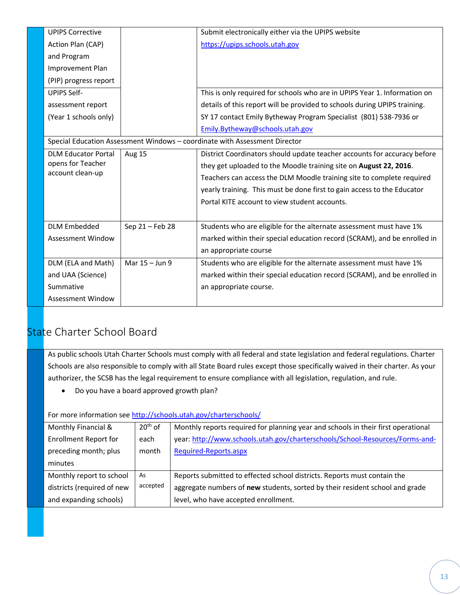| <b>UPIPS Corrective</b>                                                    |                 | Submit electronically either via the UPIPS website                        |  |
|----------------------------------------------------------------------------|-----------------|---------------------------------------------------------------------------|--|
| Action Plan (CAP)                                                          |                 | https://upips.schools.utah.gov                                            |  |
| and Program                                                                |                 |                                                                           |  |
| Improvement Plan                                                           |                 |                                                                           |  |
| (PIP) progress report                                                      |                 |                                                                           |  |
| <b>UPIPS Self-</b>                                                         |                 | This is only required for schools who are in UPIPS Year 1. Information on |  |
| assessment report                                                          |                 | details of this report will be provided to schools during UPIPS training. |  |
| (Year 1 schools only)                                                      |                 | SY 17 contact Emily Bytheway Program Specialist (801) 538-7936 or         |  |
|                                                                            |                 | Emily.Bytheway@schools.utah.gov                                           |  |
| Special Education Assessment Windows - coordinate with Assessment Director |                 |                                                                           |  |
| <b>DLM Educator Portal</b>                                                 | <b>Aug 15</b>   | District Coordinators should update teacher accounts for accuracy before  |  |
| opens for Teacher                                                          |                 | they get uploaded to the Moodle training site on August 22, 2016.         |  |
| account clean-up                                                           |                 | Teachers can access the DLM Moodle training site to complete required     |  |
|                                                                            |                 | yearly training. This must be done first to gain access to the Educator   |  |
|                                                                            |                 | Portal KITE account to view student accounts.                             |  |
|                                                                            |                 |                                                                           |  |
| <b>DLM Embedded</b>                                                        | Sep 21 - Feb 28 | Students who are eligible for the alternate assessment must have 1%       |  |
| <b>Assessment Window</b>                                                   |                 | marked within their special education record (SCRAM), and be enrolled in  |  |
|                                                                            |                 | an appropriate course                                                     |  |
| DLM (ELA and Math)                                                         | Mar 15 - Jun 9  | Students who are eligible for the alternate assessment must have 1%       |  |
| and UAA (Science)                                                          |                 | marked within their special education record (SCRAM), and be enrolled in  |  |
| Summative                                                                  |                 | an appropriate course.                                                    |  |
| Assessment Window                                                          |                 |                                                                           |  |

## State Charter School Board

As public schools Utah Charter Schools must comply with all federal and state legislation and federal regulations. Charter Schools are also responsible to comply with all State Board rules except those specifically waived in their charter. As your authorizer, the SCSB has the legal requirement to ensure compliance with all legislation, regulation, and rule.

• Do you have a board approved growth plan?

For more information see <http://schools.utah.gov/charterschools/>

| Monthly Financial &          | $20th$ of | Monthly reports required for planning year and schools in their first operational |
|------------------------------|-----------|-----------------------------------------------------------------------------------|
|                              |           |                                                                                   |
| <b>Enrollment Report for</b> | each      | year: http://www.schools.utah.gov/charterschools/School-Resources/Forms-and-      |
|                              |           |                                                                                   |
| preceding month; plus        | month     | Required-Reports.aspx                                                             |
|                              |           |                                                                                   |
| minutes                      |           |                                                                                   |
|                              |           |                                                                                   |
| Monthly report to school     | As        | Reports submitted to effected school districts. Reports must contain the          |
|                              | accepted  |                                                                                   |
| districts (required of new   |           | aggregate numbers of new students, sorted by their resident school and grade      |
|                              |           |                                                                                   |
| and expanding schools)       |           | level, who have accepted enrollment.                                              |
|                              |           |                                                                                   |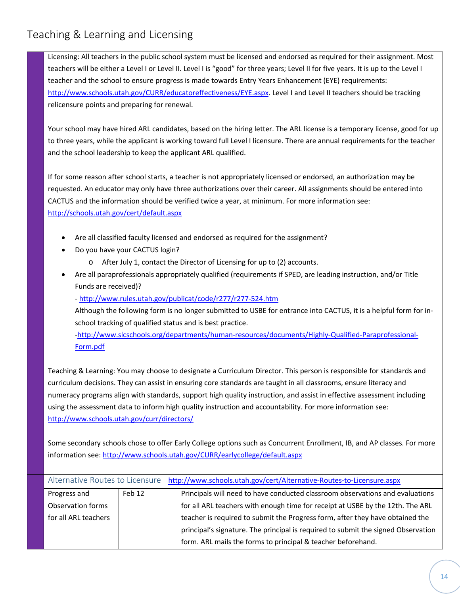## Teaching & Learning and Licensing

Licensing: All teachers in the public school system must be licensed and endorsed as required for their assignment. Most teachers will be either a Level I or Level II. Level I is "good" for three years; Level II for five years. It is up to the Level I teacher and the school to ensure progress is made towards Entry Years Enhancement (EYE) requirements: [http://www.schools.utah.gov/CURR/educatoreffectiveness/EYE.aspx.](http://www.schools.utah.gov/CURR/educatoreffectiveness/EYE.aspx) Level I and Level II teachers should be tracking relicensure points and preparing for renewal.

Your school may have hired ARL candidates, based on the hiring letter. The ARL license is a temporary license, good for up to three years, while the applicant is working toward full Level I licensure. There are annual requirements for the teacher and the school leadership to keep the applicant ARL qualified.

If for some reason after school starts, a teacher is not appropriately licensed or endorsed, an authorization may be requested. An educator may only have three authorizations over their career. All assignments should be entered into CACTUS and the information should be verified twice a year, at minimum. For more information see: <http://schools.utah.gov/cert/default.aspx>

- Are all classified faculty licensed and endorsed as required for the assignment?
- Do you have your CACTUS login?
	- o After July 1, contact the Director of Licensing for up to (2) accounts.
- Are all paraprofessionals appropriately qualified (requirements if SPED, are leading instruction, and/or Title Funds are received)?

- <http://www.rules.utah.gov/publicat/code/r277/r277-524.htm>

Although the following form is no longer submitted to USBE for entrance into CACTUS, it is a helpful form for inschool tracking of qualified status and is best practice.

[-http://www.slcschools.org/departments/human-resources/documents/Highly-Qualified-Paraprofessional-](http://www.slcschools.org/departments/human-resources/documents/Highly-Qualified-Paraprofessional-Form.pdf)[Form.pdf](http://www.slcschools.org/departments/human-resources/documents/Highly-Qualified-Paraprofessional-Form.pdf)

Teaching & Learning: You may choose to designate a Curriculum Director. This person is responsible for standards and curriculum decisions. They can assist in ensuring core standards are taught in all classrooms, ensure literacy and numeracy programs align with standards, support high quality instruction, and assist in effective assessment including using the assessment data to inform high quality instruction and accountability. For more information see: <http://www.schools.utah.gov/curr/directors/>

Some secondary schools chose to offer Early College options such as Concurrent Enrollment, IB, and AP classes. For more information see: <http://www.schools.utah.gov/CURR/earlycollege/default.aspx>

|                      |        | Alternative Routes to Licensure http://www.schools.utah.gov/cert/Alternative-Routes-to-Licensure.aspx |
|----------------------|--------|-------------------------------------------------------------------------------------------------------|
| Progress and         | Feb 12 | Principals will need to have conducted classroom observations and evaluations                         |
| Observation forms    |        | for all ARL teachers with enough time for receipt at USBE by the 12th. The ARL                        |
| for all ARL teachers |        | teacher is required to submit the Progress form, after they have obtained the                         |
|                      |        | principal's signature. The principal is required to submit the signed Observation                     |
|                      |        | form. ARL mails the forms to principal & teacher beforehand.                                          |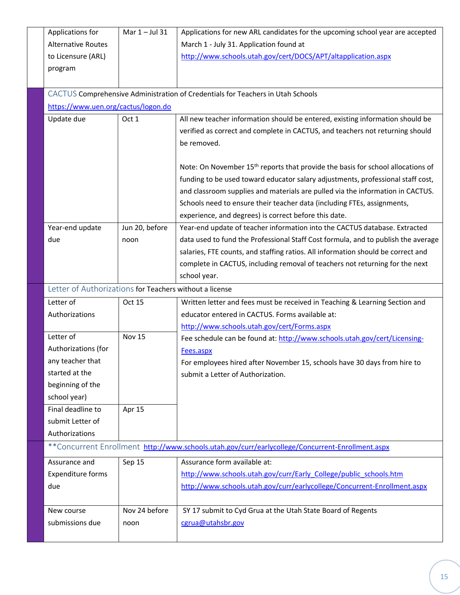| Applications for                                        | Mar $1 -$ Jul 31 | Applications for new ARL candidates for the upcoming school year are accepted                    |  |
|---------------------------------------------------------|------------------|--------------------------------------------------------------------------------------------------|--|
| <b>Alternative Routes</b>                               |                  | March 1 - July 31. Application found at                                                          |  |
| to Licensure (ARL)                                      |                  | http://www.schools.utah.gov/cert/DOCS/APT/altapplication.aspx                                    |  |
| program                                                 |                  |                                                                                                  |  |
|                                                         |                  |                                                                                                  |  |
|                                                         |                  | CACTUS Comprehensive Administration of Credentials for Teachers in Utah Schools                  |  |
| https://www.uen.org/cactus/logon.do                     |                  |                                                                                                  |  |
| Update due                                              | Oct 1            | All new teacher information should be entered, existing information should be                    |  |
|                                                         |                  | verified as correct and complete in CACTUS, and teachers not returning should                    |  |
|                                                         |                  | be removed.                                                                                      |  |
|                                                         |                  |                                                                                                  |  |
|                                                         |                  | Note: On November 15 <sup>th</sup> reports that provide the basis for school allocations of      |  |
|                                                         |                  | funding to be used toward educator salary adjustments, professional staff cost,                  |  |
|                                                         |                  | and classroom supplies and materials are pulled via the information in CACTUS.                   |  |
|                                                         |                  | Schools need to ensure their teacher data (including FTEs, assignments,                          |  |
|                                                         |                  | experience, and degrees) is correct before this date.                                            |  |
| Year-end update                                         | Jun 20, before   | Year-end update of teacher information into the CACTUS database. Extracted                       |  |
| due                                                     | noon             | data used to fund the Professional Staff Cost formula, and to publish the average                |  |
|                                                         |                  | salaries, FTE counts, and staffing ratios. All information should be correct and                 |  |
|                                                         |                  | complete in CACTUS, including removal of teachers not returning for the next                     |  |
|                                                         |                  | school year.                                                                                     |  |
| Letter of Authorizations for Teachers without a license |                  |                                                                                                  |  |
| Letter of                                               | Oct 15           | Written letter and fees must be received in Teaching & Learning Section and                      |  |
| Authorizations                                          |                  | educator entered in CACTUS. Forms available at:                                                  |  |
|                                                         |                  | http://www.schools.utah.gov/cert/Forms.aspx                                                      |  |
| Letter of                                               | <b>Nov 15</b>    | Fee schedule can be found at: http://www.schools.utah.gov/cert/Licensing-                        |  |
| Authorizations (for                                     |                  | Fees.aspx                                                                                        |  |
| any teacher that                                        |                  | For employees hired after November 15, schools have 30 days from hire to                         |  |
| started at the                                          |                  | submit a Letter of Authorization.                                                                |  |
| beginning of the                                        |                  |                                                                                                  |  |
| school year)                                            |                  |                                                                                                  |  |
| Final deadline to                                       | Apr 15           |                                                                                                  |  |
| submit Letter of                                        |                  |                                                                                                  |  |
| Authorizations                                          |                  |                                                                                                  |  |
|                                                         |                  | **Concurrent Enrollment http://www.schools.utah.gov/curr/earlycollege/Concurrent-Enrollment.aspx |  |
| Assurance and                                           | Sep 15           | Assurance form available at:                                                                     |  |
| <b>Expenditure forms</b>                                |                  | http://www.schools.utah.gov/curr/Early College/public schools.htm                                |  |
| due                                                     |                  | http://www.schools.utah.gov/curr/earlycollege/Concurrent-Enrollment.aspx                         |  |
|                                                         |                  |                                                                                                  |  |
| New course                                              | Nov 24 before    | SY 17 submit to Cyd Grua at the Utah State Board of Regents                                      |  |
| submissions due                                         | noon             | cgrua@utahsbr.gov                                                                                |  |
|                                                         |                  |                                                                                                  |  |